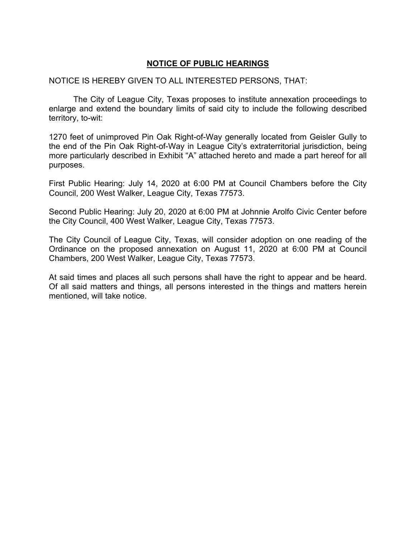## **NOTICE OF PUBLIC HEARINGS**

## NOTICE IS HEREBY GIVEN TO ALL INTERESTED PERSONS, THAT:

 The City of League City, Texas proposes to institute annexation proceedings to enlarge and extend the boundary limits of said city to include the following described territory, to-wit:

1270 feet of unimproved Pin Oak Right-of-Way generally located from Geisler Gully to the end of the Pin Oak Right-of-Way in League City's extraterritorial jurisdiction, being more particularly described in Exhibit "A" attached hereto and made a part hereof for all purposes.

First Public Hearing: July 14, 2020 at 6:00 PM at Council Chambers before the City Council, 200 West Walker, League City, Texas 77573.

Second Public Hearing: July 20, 2020 at 6:00 PM at Johnnie Arolfo Civic Center before the City Council, 400 West Walker, League City, Texas 77573.

The City Council of League City, Texas, will consider adoption on one reading of the Ordinance on the proposed annexation on August 11, 2020 at 6:00 PM at Council Chambers, 200 West Walker, League City, Texas 77573.

At said times and places all such persons shall have the right to appear and be heard. Of all said matters and things, all persons interested in the things and matters herein mentioned, will take notice.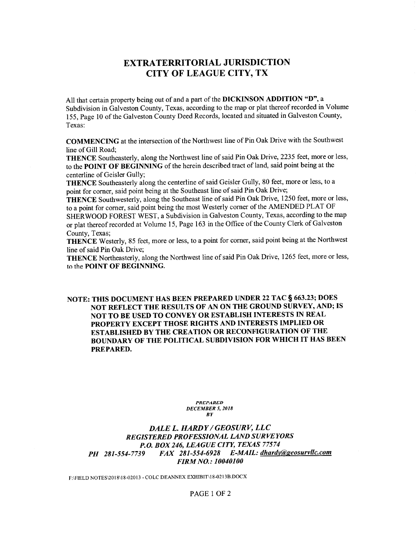## **EXTRATERRITORIAL JURISDICTION CITY OF LEAGUE CITY, TX**

All that certain property being out of and a part of the DICKINSON ADDITION "D", a Subdivision in Galveston County, Texas, according to the map or plat thereof recorded in Volume 155, Page 10 of the Galveston County Deed Records, located and situated in Galveston County, Texas:

**COMMENCING** at the intersection of the Northwest line of Pin Oak Drive with the Southwest line of Gill Road;

THENCE Southeasterly, along the Northwest line of said Pin Oak Drive, 2235 feet, more or less, to the POINT OF BEGINNING of the herein described tract of land, said point being at the centerline of Geisler Gully;

THENCE Southeasterly along the centerline of said Geisler Gully, 80 feet, more or less, to a point for corner, said point being at the Southeast line of said Pin Oak Drive;

THENCE Southwesterly, along the Southeast line of said Pin Oak Drive, 1250 feet, more or less, to a point for corner, said point being the most Westerly corner of the AMENDED PLAT OF SHERWOOD FOREST WEST, a Subdivision in Galveston County, Texas, according to the map or plat thereof recorded at Volume 15, Page 163 in the Office of the County Clerk of Galveston County. Texas:

THENCE Westerly, 85 feet, more or less, to a point for corner, said point being at the Northwest line of said Pin Oak Drive;

THENCE Northeasterly, along the Northwest line of said Pin Oak Drive, 1265 feet, more or less, to the POINT OF BEGINNING.

## NOTE: THIS DOCUMENT HAS BEEN PREPARED UNDER 22 TAC § 663.23; DOES NOT REFLECT THE RESULTS OF AN ON THE GROUND SURVEY, AND; IS NOT TO BE USED TO CONVEY OR ESTABLISH INTERESTS IN REAL PROPERTY EXCEPT THOSE RIGHTS AND INTERESTS IMPLIED OR ESTABLISHED BY THE CREATION OR RECONFIGURATION OF THE BOUNDARY OF THE POLITICAL SUBDIVISION FOR WHICH IT HAS BEEN PREPARED.

**PREPARED DECEMBER 5, 2018**  $\overline{B}Y$ 

DALE L. HARDY / GEOSURV, LLC REGISTERED PROFESSIONAL LAND SURVEYORS P.O. BOX 246, LEAGUE CITY, TEXAS 77574 FAX 281-554-6928 E-MAIL: dhardy@geosurvllc.com PH 281-554-7739 **FIRM NO.: 10040100** 

F:\FIELD NOTES\2018\18-02013 - COLC DEANNEX EXHIBIT\18-0213B.DOCX